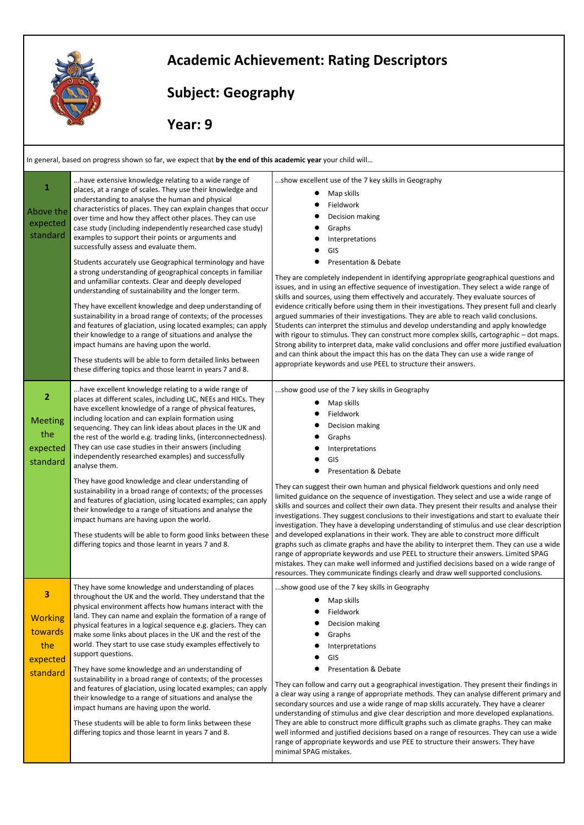

## **Academic Achievement: Rating Descriptors**

## **Subject: Geography**

 **Year: 9** 

In general, based on progress shown so far, we expect that **by the end of this academic year** your child will…

| 1<br>Above the<br>expected<br>standard                          | have extensive knowledge relating to a wide range of<br>places, at a range of scales. They use their knowledge and<br>understanding to analyse the human and physical<br>characteristics of places. They can explain changes that occur<br>over time and how they affect other places. They can use<br>case study (including independently researched case study)<br>examples to support their points or arguments and<br>successfully assess and evaluate them.<br>Students accurately use Geographical terminology and have<br>a strong understanding of geographical concepts in familiar<br>and unfamiliar contexts. Clear and deeply developed<br>understanding of sustainability and the longer term.<br>They have excellent knowledge and deep understanding of<br>sustainability in a broad range of contexts; of the processes<br>and features of glaciation, using located examples; can apply<br>their knowledge to a range of situations and analyse the<br>impact humans are having upon the world.<br>These students will be able to form detailed links between<br>these differing topics and those learnt in years 7 and 8. | show excellent use of the 7 key skills in Geography<br>Map skills<br>Fieldwork<br>Decision making<br>Graphs<br>Interpretations<br>GIS<br><b>Presentation &amp; Debate</b><br>They are completely independent in identifying appropriate geographical questions and<br>issues, and in using an effective sequence of investigation. They select a wide range of<br>skills and sources, using them effectively and accurately. They evaluate sources of<br>evidence critically before using them in their investigations. They present full and clearly<br>argued summaries of their investigations. They are able to reach valid conclusions.<br>Students can interpret the stimulus and develop understanding and apply knowledge<br>with rigour to stimulus. They can construct more complex skills, cartographic – dot maps.<br>Strong ability to interpret data, make valid conclusions and offer more justified evaluation<br>and can think about the impact this has on the data They can use a wide range of<br>appropriate keywords and use PEEL to structure their answers.          |
|-----------------------------------------------------------------|---------------------------------------------------------------------------------------------------------------------------------------------------------------------------------------------------------------------------------------------------------------------------------------------------------------------------------------------------------------------------------------------------------------------------------------------------------------------------------------------------------------------------------------------------------------------------------------------------------------------------------------------------------------------------------------------------------------------------------------------------------------------------------------------------------------------------------------------------------------------------------------------------------------------------------------------------------------------------------------------------------------------------------------------------------------------------------------------------------------------------------------------|----------------------------------------------------------------------------------------------------------------------------------------------------------------------------------------------------------------------------------------------------------------------------------------------------------------------------------------------------------------------------------------------------------------------------------------------------------------------------------------------------------------------------------------------------------------------------------------------------------------------------------------------------------------------------------------------------------------------------------------------------------------------------------------------------------------------------------------------------------------------------------------------------------------------------------------------------------------------------------------------------------------------------------------------------------------------------------------------|
| $\overline{2}$<br><b>Meeting</b><br>the<br>expected<br>standard | have excellent knowledge relating to a wide range of<br>places at different scales, including LIC, NEEs and HICs. They<br>have excellent knowledge of a range of physical features,<br>including location and can explain formation using<br>sequencing. They can link ideas about places in the UK and<br>the rest of the world e.g. trading links, (interconnectedness).<br>They can use case studies in their answers (including<br>independently researched examples) and successfully<br>analyse them.<br>They have good knowledge and clear understanding of<br>sustainability in a broad range of contexts; of the processes<br>and features of glaciation, using located examples; can apply<br>their knowledge to a range of situations and analyse the<br>impact humans are having upon the world.<br>These students will be able to form good links between these<br>differing topics and those learnt in years 7 and 8.                                                                                                                                                                                                         | show good use of the 7 key skills in Geography<br>Map skills<br>Fieldwork<br>Decision making<br>Graphs<br>Interpretations<br>GIS<br>Presentation & Debate<br>They can suggest their own human and physical fieldwork questions and only need<br>limited guidance on the sequence of investigation. They select and use a wide range of<br>skills and sources and collect their own data. They present their results and analyse their<br>investigations. They suggest conclusions to their investigations and start to evaluate their<br>investigation. They have a developing understanding of stimulus and use clear description<br>and developed explanations in their work. They are able to construct more difficult<br>graphs such as climate graphs and have the ability to interpret them. They can use a wide<br>range of appropriate keywords and use PEEL to structure their answers. Limited SPAG<br>mistakes. They can make well informed and justified decisions based on a wide range of<br>resources. They communicate findings clearly and draw well supported conclusions. |
| 3<br><b>Working</b><br>towards<br>the<br>expected<br>standard   | They have some knowledge and understanding of places<br>throughout the UK and the world. They understand that the<br>physical environment affects how humans interact with the<br>land. They can name and explain the formation of a range of<br>physical features in a logical sequence e.g. glaciers. They can<br>make some links about places in the UK and the rest of the<br>world. They start to use case study examples effectively to<br>support questions.<br>They have some knowledge and an understanding of<br>sustainability in a broad range of contexts; of the processes<br>and features of glaciation, using located examples; can apply<br>their knowledge to a range of situations and analyse the<br>impact humans are having upon the world.<br>These students will be able to form links between these<br>differing topics and those learnt in years 7 and 8.                                                                                                                                                                                                                                                         | show good use of the 7 key skills in Geography<br>Map skills<br>Fieldwork<br>Decision making<br>Graphs<br>Interpretations<br>GIS<br><b>Presentation &amp; Debate</b><br>They can follow and carry out a geographical investigation. They present their findings in<br>a clear way using a range of appropriate methods. They can analyse different primary and<br>secondary sources and use a wide range of map skills accurately. They have a clearer<br>understanding of stimulus and give clear description and more developed explanations.<br>They are able to construct more difficult graphs such as climate graphs. They can make<br>well informed and justified decisions based on a range of resources. They can use a wide<br>range of appropriate keywords and use PEE to structure their answers. They have<br>minimal SPAG mistakes.                                                                                                                                                                                                                                           |